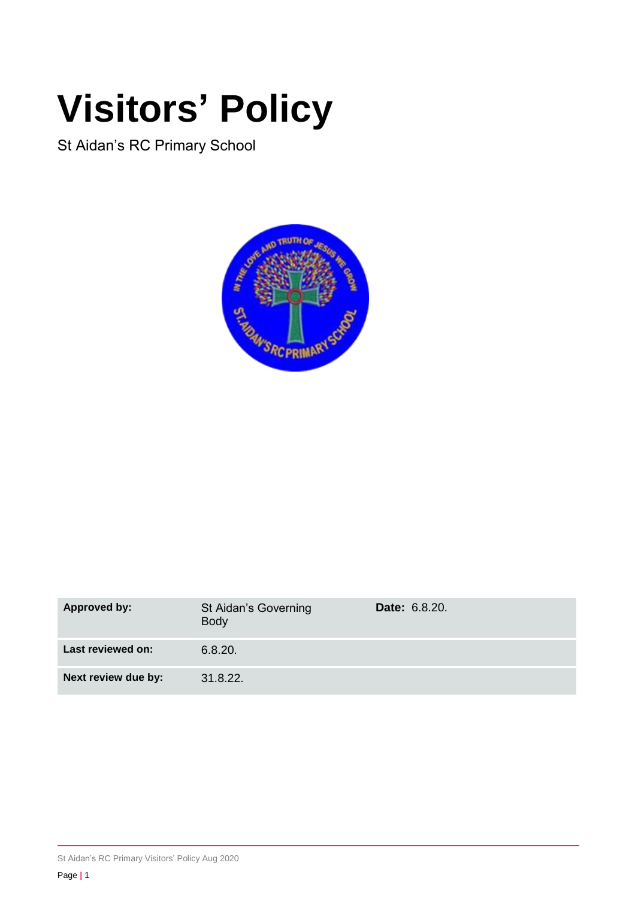# **Visitors' Policy**

St Aidan's RC Primary School



| <b>Approved by:</b> | St Aidan's Governing<br><b>Body</b> | <b>Date: 6.8.20.</b> |
|---------------------|-------------------------------------|----------------------|
| Last reviewed on:   | 6.8.20.                             |                      |
| Next review due by: | 31.8.22.                            |                      |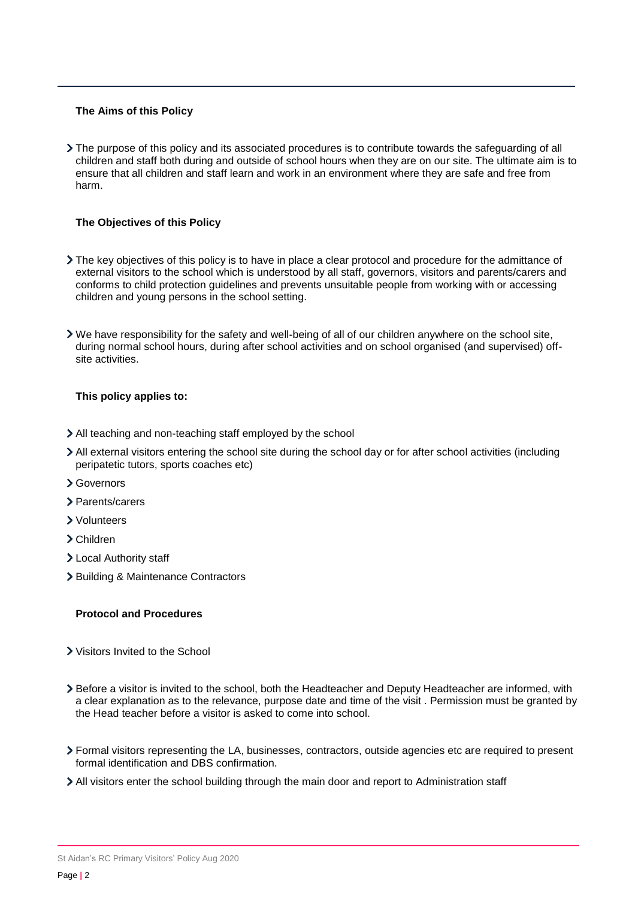#### **The Aims of this Policy**

The purpose of this policy and its associated procedures is to contribute towards the safeguarding of all children and staff both during and outside of school hours when they are on our site. The ultimate aim is to ensure that all children and staff learn and work in an environment where they are safe and free from harm.

# **The Objectives of this Policy**

- The key objectives of this policy is to have in place a clear protocol and procedure for the admittance of external visitors to the school which is understood by all staff, governors, visitors and parents/carers and conforms to child protection guidelines and prevents unsuitable people from working with or accessing children and young persons in the school setting.
- We have responsibility for the safety and well-being of all of our children anywhere on the school site, during normal school hours, during after school activities and on school organised (and supervised) offsite activities.

## **This policy applies to:**

- All teaching and non-teaching staff employed by the school
- All external visitors entering the school site during the school day or for after school activities (including peripatetic tutors, sports coaches etc)
- Governors
- > Parents/carers
- Volunteers
- Children
- Local Authority staff
- > Building & Maintenance Contractors

## **Protocol and Procedures**

- Visitors Invited to the School
- Before a visitor is invited to the school, both the Headteacher and Deputy Headteacher are informed, with a clear explanation as to the relevance, purpose date and time of the visit . Permission must be granted by the Head teacher before a visitor is asked to come into school.
- Formal visitors representing the LA, businesses, contractors, outside agencies etc are required to present formal identification and DBS confirmation.
- All visitors enter the school building through the main door and report to Administration staff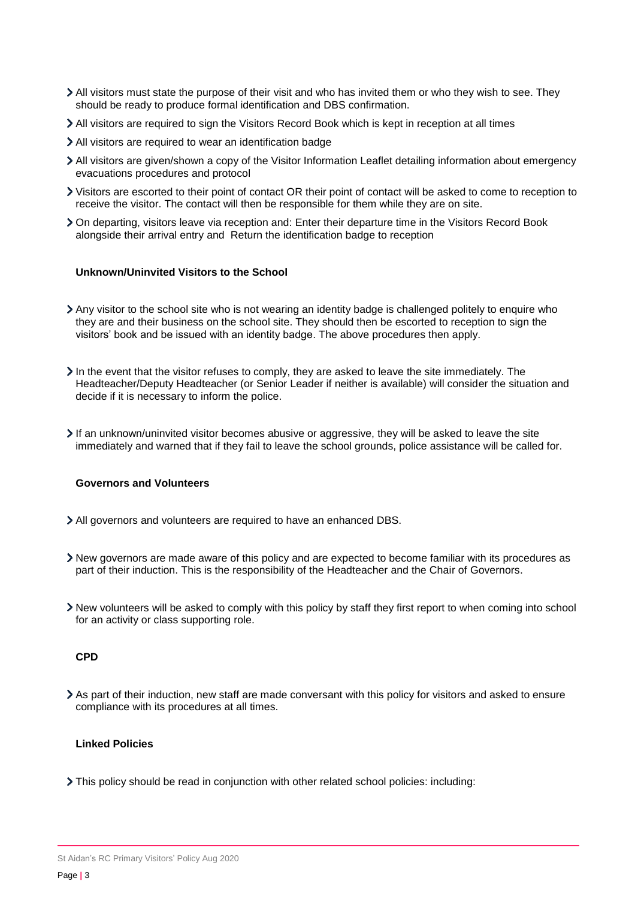- All visitors must state the purpose of their visit and who has invited them or who they wish to see. They should be ready to produce formal identification and DBS confirmation.
- All visitors are required to sign the Visitors Record Book which is kept in reception at all times
- All visitors are required to wear an identification badge
- All visitors are given/shown a copy of the Visitor Information Leaflet detailing information about emergency evacuations procedures and protocol
- Visitors are escorted to their point of contact OR their point of contact will be asked to come to reception to receive the visitor. The contact will then be responsible for them while they are on site.
- On departing, visitors leave via reception and: Enter their departure time in the Visitors Record Book alongside their arrival entry and Return the identification badge to reception

#### **Unknown/Uninvited Visitors to the School**

- Any visitor to the school site who is not wearing an identity badge is challenged politely to enquire who they are and their business on the school site. They should then be escorted to reception to sign the visitors' book and be issued with an identity badge. The above procedures then apply.
- $\lambda$  In the event that the visitor refuses to comply, they are asked to leave the site immediately. The Headteacher/Deputy Headteacher (or Senior Leader if neither is available) will consider the situation and decide if it is necessary to inform the police.
- If an unknown/uninvited visitor becomes abusive or aggressive, they will be asked to leave the site immediately and warned that if they fail to leave the school grounds, police assistance will be called for.

## **Governors and Volunteers**

- All governors and volunteers are required to have an enhanced DBS.
- New governors are made aware of this policy and are expected to become familiar with its procedures as part of their induction. This is the responsibility of the Headteacher and the Chair of Governors.
- New volunteers will be asked to comply with this policy by staff they first report to when coming into school for an activity or class supporting role.

## **CPD**

As part of their induction, new staff are made conversant with this policy for visitors and asked to ensure compliance with its procedures at all times.

# **Linked Policies**

This policy should be read in conjunction with other related school policies: including:

St Aidan's RC Primary Visitors' Policy Aug 2020